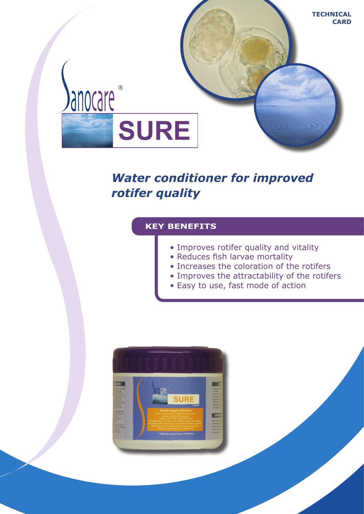

# *Water conditioner for improved rotifer quality*

# **KEY BENEFITS**

- Improves rotifer quality and vitality
- Reduces fish larvae mortality
- Increases the coloration of the rotifers
- Improves the attractability of the rotifers
- Easy to use, fast mode of action